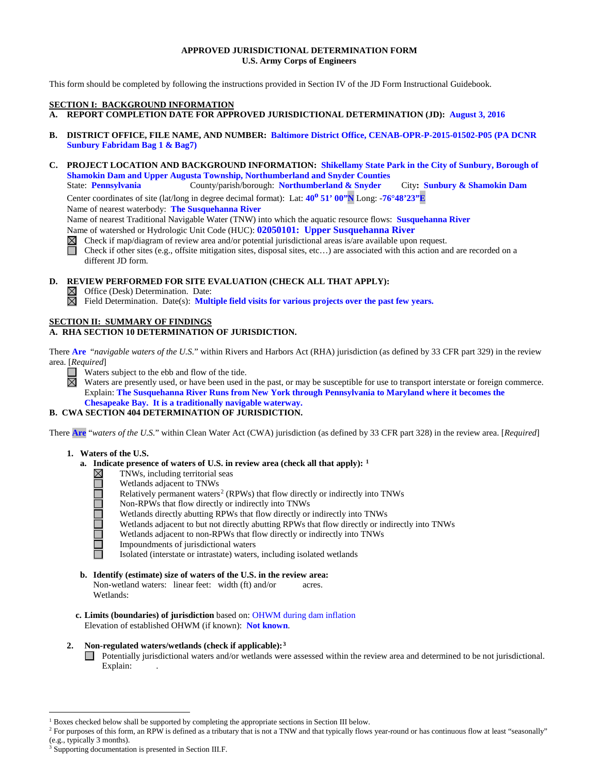### **APPROVED JURISDICTIONAL DETERMINATION FORM U.S. Army Corps of Engineers**

This form should be completed by following the instructions provided in Section IV of the JD Form Instructional Guidebook.

#### **SECTION I: BACKGROUND INFORMATION**

- **A. REPORT COMPLETION DATE FOR APPROVED JURISDICTIONAL DETERMINATION (JD): August 3, 2016**
- **B. DISTRICT OFFICE, FILE NAME, AND NUMBER: Baltimore District Office, CENAB-OPR-P-2015-01502-P05 (PA DCNR Sunbury Fabridam Bag 1 & Bag7)**
- **C. PROJECT LOCATION AND BACKGROUND INFORMATION: Shikellamy State Park in the City of Sunbury, Borough of Shamokin Dam and Upper Augusta Township, Northumberland and Snyder Counties**

State: **Pennsylvania** County/parish/borough: **Northumberland & Snyder** City**: Sunbury & Shamokin Dam** Center coordinates of site (lat/long in degree decimal format): Lat: 40<sup>0</sup> 51' 00'N Long: -76°48'23"E

Name of nearest waterbody: **The Susquehanna River**

Name of nearest Traditional Navigable Water (TNW) into which the aquatic resource flows: **Susquehanna River**

Name of watershed or Hydrologic Unit Code (HUC): **02050101: Upper Susquehanna River**

Check if map/diagram of review area and/or potential jurisdictional areas is/are available upon request.

Check if other sites (e.g., offsite mitigation sites, disposal sites, etc…) are associated with this action and are recorded on a different JD form.

**D. REVIEW PERFORMED FOR SITE EVALUATION (CHECK ALL THAT APPLY):**

 $\boxtimes$  Office (Desk) Determination. Date:

Field Determination. Date(s): **Multiple field visits for various projects over the past few years.**

## **SECTION II: SUMMARY OF FINDINGS**

# **A. RHA SECTION 10 DETERMINATION OF JURISDICTION.**

There **Are** "*navigable waters of the U.S.*" within Rivers and Harbors Act (RHA) jurisdiction (as defined by 33 CFR part 329) in the review area. [*Required*]

Waters subject to the ebb and flow of the tide. П ⊠

Waters are presently used, or have been used in the past, or may be susceptible for use to transport interstate or foreign commerce. Explain: **The Susquehanna River Runs from New York through Pennsylvania to Maryland where it becomes the Chesapeake Bay. It is a traditionally navigable waterway.**

# **B. CWA SECTION 404 DETERMINATION OF JURISDICTION.**

There **Are** "*waters of the U.S.*" within Clean Water Act (CWA) jurisdiction (as defined by 33 CFR part 328) in the review area. [*Required*]

### **1. Waters of the U.S.**

- **a. Indicate presence of waters of U.S. in review area (check all that apply):** <sup>[1](#page-0-0)</sup><br> **11.1** TNWs, including territorial seas<br>
Wetlands adjacent to TNWs<br>
Relatively permanent waters<sup>2</sup> (RPWs) that flow directly or indirect
	- TNWs, including territorial seas
	- Wetlands adjacent to TNWs
	- Relatively permanent waters<sup>[2](#page-0-1)</sup> (RPWs) that flow directly or indirectly into TNWs
	- Non-RPWs that flow directly or indirectly into TNWs
	- Wetlands directly abutting RPWs that flow directly or indirectly into TNWs
	- Wetlands adjacent to but not directly abutting RPWs that flow directly or indirectly into TNWs
	- Wetlands adjacent to non-RPWs that flow directly or indirectly into TNWs
	- Impoundments of jurisdictional waters
	- Isolated (interstate or intrastate) waters, including isolated wetlands
- **b. Identify (estimate) size of waters of the U.S. in the review area:** Non-wetland waters: linear feet: width (ft) and/or acres. Wetlands:
- **c. Limits (boundaries) of jurisdiction** based on: OHWM during dam inflation Elevation of established OHWM (if known): **Not known**.

### **2. Non-regulated waters/wetlands (check if applicable):[3](#page-0-2)**

Potentially jurisdictional waters and/or wetlands were assessed within the review area and determined to be not jurisdictional. Explain:

<sup>&</sup>lt;sup>1</sup> Boxes checked below shall be supported by completing the appropriate sections in Section III below.

<span id="page-0-1"></span><span id="page-0-0"></span><sup>&</sup>lt;sup>2</sup> For purposes of this form, an RPW is defined as a tributary that is not a TNW and that typically flows year-round or has continuous flow at least "seasonally" (e.g., typically 3 months).

<span id="page-0-2"></span>Supporting documentation is presented in Section III.F.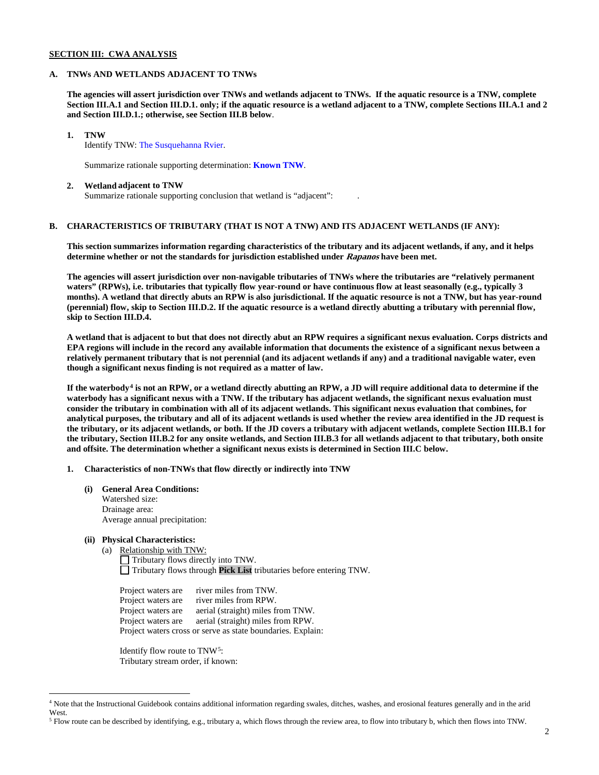### **SECTION III: CWA ANALYSIS**

#### **A. TNWs AND WETLANDS ADJACENT TO TNWs**

**The agencies will assert jurisdiction over TNWs and wetlands adjacent to TNWs. If the aquatic resource is a TNW, complete Section III.A.1 and Section III.D.1. only; if the aquatic resource is a wetland adjacent to a TNW, complete Sections III.A.1 and 2 and Section III.D.1.; otherwise, see Section III.B below**.

#### **1. TNW**

Identify TNW: The Susquehanna Rvier.

Summarize rationale supporting determination: **Known TNW**.

#### **2. Wetland adjacent to TNW**

Summarize rationale supporting conclusion that wetland is "adjacent": .

## **B. CHARACTERISTICS OF TRIBUTARY (THAT IS NOT A TNW) AND ITS ADJACENT WETLANDS (IF ANY):**

**This section summarizes information regarding characteristics of the tributary and its adjacent wetlands, if any, and it helps determine whether or not the standards for jurisdiction established under Rapanos have been met.** 

**The agencies will assert jurisdiction over non-navigable tributaries of TNWs where the tributaries are "relatively permanent waters" (RPWs), i.e. tributaries that typically flow year-round or have continuous flow at least seasonally (e.g., typically 3 months). A wetland that directly abuts an RPW is also jurisdictional. If the aquatic resource is not a TNW, but has year-round (perennial) flow, skip to Section III.D.2. If the aquatic resource is a wetland directly abutting a tributary with perennial flow, skip to Section III.D.4.**

**A wetland that is adjacent to but that does not directly abut an RPW requires a significant nexus evaluation. Corps districts and EPA regions will include in the record any available information that documents the existence of a significant nexus between a relatively permanent tributary that is not perennial (and its adjacent wetlands if any) and a traditional navigable water, even though a significant nexus finding is not required as a matter of law.**

**If the waterbody[4](#page-1-0) is not an RPW, or a wetland directly abutting an RPW, a JD will require additional data to determine if the waterbody has a significant nexus with a TNW. If the tributary has adjacent wetlands, the significant nexus evaluation must consider the tributary in combination with all of its adjacent wetlands. This significant nexus evaluation that combines, for analytical purposes, the tributary and all of its adjacent wetlands is used whether the review area identified in the JD request is the tributary, or its adjacent wetlands, or both. If the JD covers a tributary with adjacent wetlands, complete Section III.B.1 for the tributary, Section III.B.2 for any onsite wetlands, and Section III.B.3 for all wetlands adjacent to that tributary, both onsite and offsite. The determination whether a significant nexus exists is determined in Section III.C below.**

**1. Characteristics of non-TNWs that flow directly or indirectly into TNW**

**(i) General Area Conditions:** Watershed size: Drainage area: Average annual precipitation:

#### **(ii) Physical Characteristics:**

(a) Relationship with TNW:

Tributary flows directly into TNW. Tributary flows through **Pick List** tributaries before entering TNW.

Project waters are river miles from TNW. Project waters are river miles from RPW.<br>Project waters are aerial (straight) miles fi Project waters are aerial (straight) miles from TNW.<br>Project waters are aerial (straight) miles from RPW. aerial (straight) miles from RPW. Project waters cross or serve as state boundaries. Explain:

Identify flow route to TNW[5:](#page-1-1) Tributary stream order, if known:

<span id="page-1-0"></span> <sup>4</sup> Note that the Instructional Guidebook contains additional information regarding swales, ditches, washes, and erosional features generally and in the arid West.

<span id="page-1-1"></span><sup>5</sup> Flow route can be described by identifying, e.g., tributary a, which flows through the review area, to flow into tributary b, which then flows into TNW.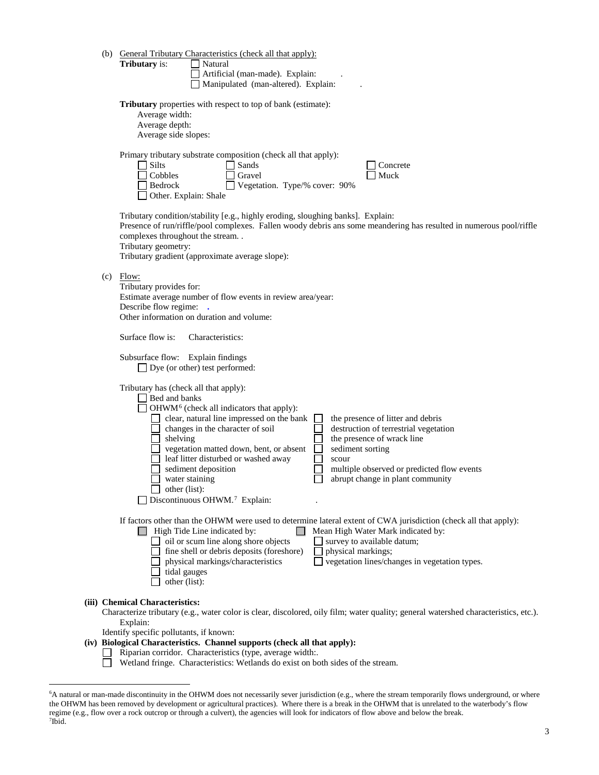|     | (b) General Tributary Characteristics (check all that apply):<br><b>Tributary</b> is:<br>Natural<br>Artificial (man-made). Explain:<br>Manipulated (man-altered). Explain:                                                                                                                                                                                                                                                                                                                                                                                                          |
|-----|-------------------------------------------------------------------------------------------------------------------------------------------------------------------------------------------------------------------------------------------------------------------------------------------------------------------------------------------------------------------------------------------------------------------------------------------------------------------------------------------------------------------------------------------------------------------------------------|
|     | <b>Tributary</b> properties with respect to top of bank (estimate):<br>Average width:<br>Average depth:<br>Average side slopes:                                                                                                                                                                                                                                                                                                                                                                                                                                                     |
|     | Primary tributary substrate composition (check all that apply):<br>$\Box$ Silts<br>Sands<br>Concrete<br>Cobbles<br>Gravel<br>Muck<br>Vegetation. Type/% cover: 90%<br>Bedrock<br>Other. Explain: Shale                                                                                                                                                                                                                                                                                                                                                                              |
|     | Tributary condition/stability [e.g., highly eroding, sloughing banks]. Explain:<br>Presence of run/riffle/pool complexes. Fallen woody debris ans some meandering has resulted in numerous pool/riffle<br>complexes throughout the stream. .<br>Tributary geometry:<br>Tributary gradient (approximate average slope):                                                                                                                                                                                                                                                              |
| (c) | Flow:<br>Tributary provides for:<br>Estimate average number of flow events in review area/year:<br>Describe flow regime: .<br>Other information on duration and volume:                                                                                                                                                                                                                                                                                                                                                                                                             |
|     | Surface flow is:<br>Characteristics:                                                                                                                                                                                                                                                                                                                                                                                                                                                                                                                                                |
|     | Subsurface flow: Explain findings<br>$\Box$ Dye (or other) test performed:                                                                                                                                                                                                                                                                                                                                                                                                                                                                                                          |
|     | Tributary has (check all that apply):<br>Bed and banks<br>OHWM <sup>6</sup> (check all indicators that apply):<br>clear, natural line impressed on the bank<br>the presence of litter and debris<br>destruction of terrestrial vegetation<br>changes in the character of soil<br>the presence of wrack line<br>shelving<br>vegetation matted down, bent, or absent<br>sediment sorting<br>leaf litter disturbed or washed away<br>scour<br>sediment deposition<br>multiple observed or predicted flow events<br>water staining<br>abrupt change in plant community<br>other (list): |
|     | Discontinuous OHWM. <sup>7</sup> Explain:                                                                                                                                                                                                                                                                                                                                                                                                                                                                                                                                           |
|     | If factors other than the OHWM were used to determine lateral extent of CWA jurisdiction (check all that apply):<br>High Tide Line indicated by:<br>Mean High Water Mark indicated by:<br>oil or scum line along shore objects<br>$\Box$ survey to available datum;<br>fine shell or debris deposits (foreshore)<br>physical markings;<br>$\Box$ vegetation lines/changes in vegetation types.<br>physical markings/characteristics<br>tidal gauges<br>other (list):                                                                                                                |
|     | (iii) Chemical Characteristics:<br>Characterize tributary (e.g., water color is clear, discolored, oily film; water quality; general watershed characteristics, etc.).<br>Explain:<br>Identify specific pollutants, if known:<br>(iv) Biological Characteristics. Channel supports (check all that apply):<br>Riparian corridor. Characteristics (type, average width:.<br>Wetland fringe. Characteristics: Wetlands do exist on both sides of the stream.                                                                                                                          |

<span id="page-2-1"></span><span id="page-2-0"></span> <sup>6</sup> A natural or man-made discontinuity in the OHWM does not necessarily sever jurisdiction (e.g., where the stream temporarily flows underground, or where the OHWM has been removed by development or agricultural practices). Where there is a break in the OHWM that is unrelated to the waterbody's flow regime (e.g., flow over a rock outcrop or through a culvert), the agencies will look for indicators of flow above and below the break. 7 Ibid.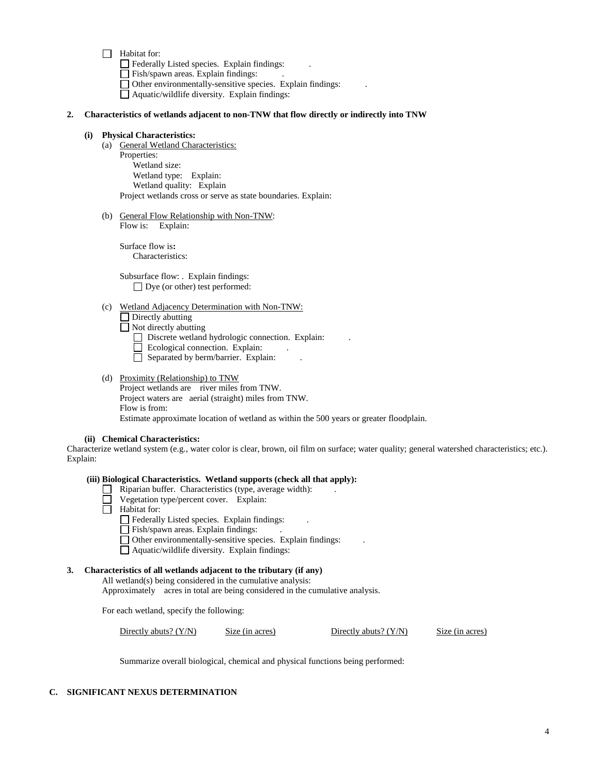$\Box$  Habitat for:

Federally Listed species. Explain findings: .

Fish/spawn areas. Explain findings: .

Other environmentally-sensitive species. Explain findings: .

Aquatic/wildlife diversity. Explain findings:

#### **2. Characteristics of wetlands adjacent to non-TNW that flow directly or indirectly into TNW**

#### **(i) Physical Characteristics:**

- (a) General Wetland Characteristics: Properties: Wetland size: Wetland type: Explain: Wetland quality: Explain Project wetlands cross or serve as state boundaries. Explain:
- (b) General Flow Relationship with Non-TNW: Flow is: Explain:

Surface flow is**:**  Characteristics:

Subsurface flow: . Explain findings: □ Dye (or other) test performed:

(c) Wetland Adjacency Determination with Non-TNW:

Directly abutting  $\Box$  Not directly abutting

- Discrete wetland hydrologic connection. Explain:
- $\Box$  Ecological connection. Explain:
- $\Box$  Separated by berm/barrier. Explain:
- (d) Proximity (Relationship) to TNW Project wetlands are river miles from TNW. Project waters are aerial (straight) miles from TNW. Flow is from:

Estimate approximate location of wetland as within the 500 years or greater floodplain.

**(ii) Chemical Characteristics:**

Characterize wetland system (e.g., water color is clear, brown, oil film on surface; water quality; general watershed characteristics; etc.). Explain:

#### **(iii) Biological Characteristics. Wetland supports (check all that apply):**

- Riparian buffer. Characteristics (type, average width): .
- Vegetation type/percent cover. Explain:
- $\Box$  Habitat for:
	- Federally Listed species. Explain findings:
	- $\Box$  Fish/spawn areas. Explain findings:
	- $\Box$  Other environmentally-sensitive species. Explain findings:
	- $\Box$  Aquatic/wildlife diversity. Explain findings:

#### **3. Characteristics of all wetlands adjacent to the tributary (if any)**

All wetland(s) being considered in the cumulative analysis: Approximately acres in total are being considered in the cumulative analysis.

For each wetland, specify the following:

Directly abuts? (Y/N) Size (in acres) Directly abuts? (Y/N) Size (in acres)

Summarize overall biological, chemical and physical functions being performed:

# **C. SIGNIFICANT NEXUS DETERMINATION**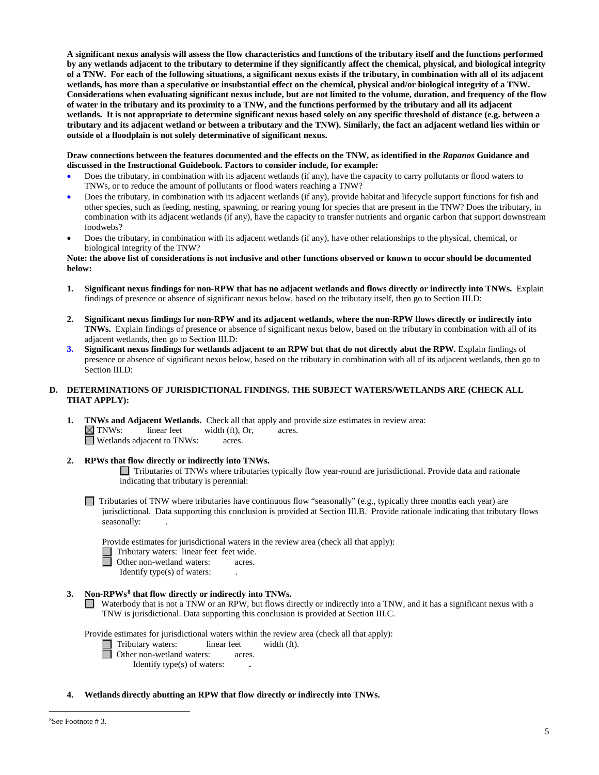**A significant nexus analysis will assess the flow characteristics and functions of the tributary itself and the functions performed by any wetlands adjacent to the tributary to determine if they significantly affect the chemical, physical, and biological integrity of a TNW. For each of the following situations, a significant nexus exists if the tributary, in combination with all of its adjacent wetlands, has more than a speculative or insubstantial effect on the chemical, physical and/or biological integrity of a TNW. Considerations when evaluating significant nexus include, but are not limited to the volume, duration, and frequency of the flow of water in the tributary and its proximity to a TNW, and the functions performed by the tributary and all its adjacent wetlands. It is not appropriate to determine significant nexus based solely on any specific threshold of distance (e.g. between a tributary and its adjacent wetland or between a tributary and the TNW). Similarly, the fact an adjacent wetland lies within or outside of a floodplain is not solely determinative of significant nexus.** 

**Draw connections between the features documented and the effects on the TNW, as identified in the** *Rapanos* **Guidance and discussed in the Instructional Guidebook. Factors to consider include, for example:**

- Does the tributary, in combination with its adjacent wetlands (if any), have the capacity to carry pollutants or flood waters to TNWs, or to reduce the amount of pollutants or flood waters reaching a TNW?
- Does the tributary, in combination with its adjacent wetlands (if any), provide habitat and lifecycle support functions for fish and other species, such as feeding, nesting, spawning, or rearing young for species that are present in the TNW? Does the tributary, in combination with its adjacent wetlands (if any), have the capacity to transfer nutrients and organic carbon that support downstream foodwebs?
- Does the tributary, in combination with its adjacent wetlands (if any), have other relationships to the physical, chemical, or biological integrity of the TNW?

### **Note: the above list of considerations is not inclusive and other functions observed or known to occur should be documented below:**

- **1. Significant nexus findings for non-RPW that has no adjacent wetlands and flows directly or indirectly into TNWs.** Explain findings of presence or absence of significant nexus below, based on the tributary itself, then go to Section III.D:
- **2. Significant nexus findings for non-RPW and its adjacent wetlands, where the non-RPW flows directly or indirectly into TNWs.** Explain findings of presence or absence of significant nexus below, based on the tributary in combination with all of its adjacent wetlands, then go to Section III.D:
- **3. Significant nexus findings for wetlands adjacent to an RPW but that do not directly abut the RPW.** Explain findings of presence or absence of significant nexus below, based on the tributary in combination with all of its adjacent wetlands, then go to Section III.D:

### **D. DETERMINATIONS OF JURISDICTIONAL FINDINGS. THE SUBJECT WATERS/WETLANDS ARE (CHECK ALL THAT APPLY):**

**1. TNWs and Adjacent Wetlands.** Check all that apply and provide size estimates in review area:  $\boxtimes$  **TNWs:** linear feet width (ft), Or, acres. width (ft), Or, acres.<br>acres.  $\Box$  Wetlands adjacent to TNWs:

### **2. RPWs that flow directly or indirectly into TNWs.**

Tributaries of TNWs where tributaries typically flow year-round are jurisdictional. Provide data and rationale indicating that tributary is perennial:

 $\Box$  Tributaries of TNW where tributaries have continuous flow "seasonally" (e.g., typically three months each year) are jurisdictional. Data supporting this conclusion is provided at Section III.B. Provide rationale indicating that tributary flows seasonally:

Provide estimates for jurisdictional waters in the review area (check all that apply):

- □ Tributary waters: linear feet feet wide.<br>□ Other non-wetland waters: acres.
- Other non-wetland waters: acres.

Identify type(s) of waters: .

### **3. Non-RPWs[8](#page-4-0) that flow directly or indirectly into TNWs.**

Waterbody that is not a TNW or an RPW, but flows directly or indirectly into a TNW, and it has a significant nexus with a TNW is jurisdictional. Data supporting this conclusion is provided at Section III.C.

Provide estimates for jurisdictional waters within the review area (check all that apply):

- Tributary waters: linear feet width (ft).
- Other non-wetland waters: acres.
	- Identify type(s) of waters: **.**
- <span id="page-4-0"></span>**4. Wetlands directly abutting an RPW that flow directly or indirectly into TNWs.**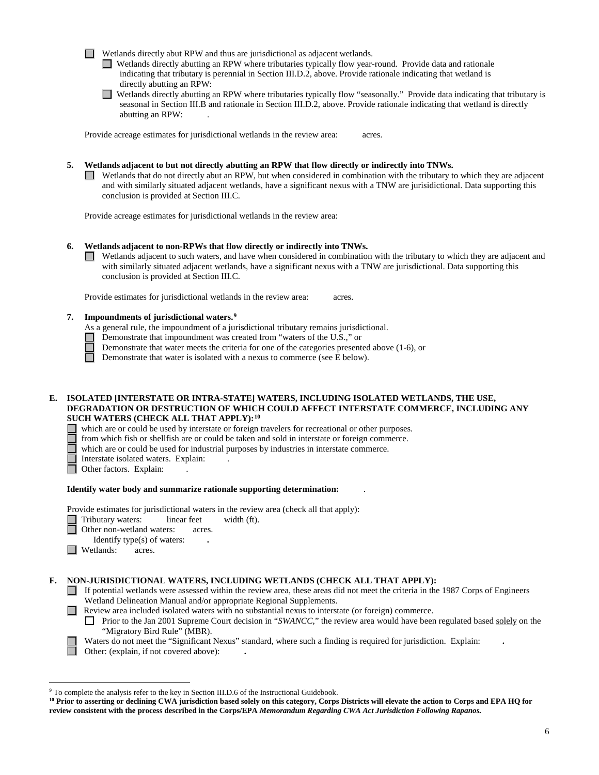Wetlands directly abut RPW and thus are jurisdictional as adjacent wetlands.

Wetlands directly abutting an RPW where tributaries typically flow year-round. Provide data and rationale indicating that tributary is perennial in Section III.D.2, above. Provide rationale indicating that wetland is directly abutting an RPW:

Wetlands directly abutting an RPW where tributaries typically flow "seasonally." Provide data indicating that tributary is seasonal in Section III.B and rationale in Section III.D.2, above. Provide rationale indicating that wetland is directly abutting an RPW: .

Provide acreage estimates for jurisdictional wetlands in the review area: acres.

**5. Wetlands adjacent to but not directly abutting an RPW that flow directly or indirectly into TNWs.**

 $\Box$  Wetlands that do not directly abut an RPW, but when considered in combination with the tributary to which they are adjacent and with similarly situated adjacent wetlands, have a significant nexus with a TNW are jurisidictional. Data supporting this conclusion is provided at Section III.C.

Provide acreage estimates for jurisdictional wetlands in the review area:

#### **6. Wetlands adjacent to non-RPWs that flow directly or indirectly into TNWs.**

 $\Box$  Wetlands adjacent to such waters, and have when considered in combination with the tributary to which they are adjacent and with similarly situated adjacent wetlands, have a significant nexus with a TNW are jurisdictional. Data supporting this conclusion is provided at Section III.C.

Provide estimates for jurisdictional wetlands in the review area: acres.

### **7. Impoundments of jurisdictional waters. [9](#page-5-0)**

As a general rule, the impoundment of a jurisdictional tributary remains jurisdictional.

- Demonstrate that impoundment was created from "waters of the U.S.," or
	- Demonstrate that water meets the criteria for one of the categories presented above (1-6), or

 $\Box$ Demonstrate that water is isolated with a nexus to commerce (see E below).

#### **E. ISOLATED [INTERSTATE OR INTRA-STATE] WATERS, INCLUDING ISOLATED WETLANDS, THE USE, DEGRADATION OR DESTRUCTION OF WHICH COULD AFFECT INTERSTATE COMMERCE, INCLUDING ANY SUCH WATERS (CHECK ALL THAT APPLY):[10](#page-5-1)**

which are or could be used by interstate or foreign travelers for recreational or other purposes.

from which fish or shellfish are or could be taken and sold in interstate or foreign commerce.

which are or could be used for industrial purposes by industries in interstate commerce.

- Interstate isolated waters.Explain: .
- □ Other factors. Explain:

#### **Identify water body and summarize rationale supporting determination:** .

Provide estimates for jurisdictional waters in the review area (check all that apply):

- Tributary waters: linear feet width (ft).
- **Other non-wetland waters: acres.**

Identify type(s) of waters: **.**

 $\Box$  Wetlands: acres.

#### **F. NON-JURISDICTIONAL WATERS, INCLUDING WETLANDS (CHECK ALL THAT APPLY):**

- If potential wetlands were assessed within the review area, these areas did not meet the criteria in the 1987 Corps of Engineers Wetland Delineation Manual and/or appropriate Regional Supplements.
- Review area included isolated waters with no substantial nexus to interstate (or foreign) commerce.
	- Prior to the Jan 2001 Supreme Court decision in "*SWANCC*," the review area would have been regulated based solely on the  $\perp$ "Migratory Bird Rule" (MBR).

Waters do not meet the "Significant Nexus" standard, where such a finding is required for jurisdiction. Explain: **.** Other: (explain, if not covered above): **.**

<span id="page-5-0"></span> <sup>9</sup> To complete the analysis refer to the key in Section III.D.6 of the Instructional Guidebook.

<span id="page-5-1"></span>**<sup>10</sup> Prior to asserting or declining CWA jurisdiction based solely on this category, Corps Districts will elevate the action to Corps and EPA HQ for review consistent with the process described in the Corps/EPA** *Memorandum Regarding CWA Act Jurisdiction Following Rapanos.*